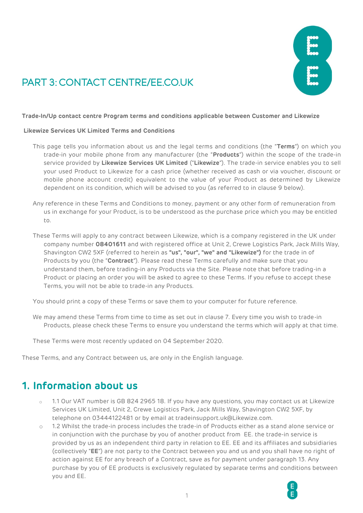

# PART 3: CONTACT CENTRE/EE CO.UK

#### **Trade-In/Up contact centre Program terms and conditions applicable between Customer and Likewize**

#### **Likewize Services UK Limited Terms and Conditions**

- This page tells you information about us and the legal terms and conditions (the "**Terms**") on which you trade-in your mobile phone from any manufacturer (the "**Products**") within the scope of the trade-in service provided by **Likewize Services UK Limited** ("**Likewize**"). The trade-in service enables you to sell your used Product to Likewize for a cash price (whether received as cash or via voucher, discount or mobile phone account credit) equivalent to the value of your Product as determined by Likewize dependent on its condition, which will be advised to you (as referred to in clause 9 below).
- Any reference in these Terms and Conditions to money, payment or any other form of remuneration from us in exchange for your Product, is to be understood as the purchase price which you may be entitled to.
- These Terms will apply to any contract between Likewize, which is a company registered in the UK under company number **08401611** and with registered office at Unit 2, Crewe Logistics Park, Jack Mills Way, Shavington CW2 5XF (referred to herein as **"us", "our", "we" and "Likewize")** for the trade in of Products by you (the "**Contract**"). Please read these Terms carefully and make sure that you understand them, before trading-in any Products via the Site. Please note that before trading-in a Product or placing an order you will be asked to agree to these Terms. If you refuse to accept these Terms, you will not be able to trade-in any Products.

You should print a copy of these Terms or save them to your computer for future reference.

We may amend these Terms from time to time as set out in clause 7. Every time you wish to trade-in Products, please check these Terms to ensure you understand the terms which will apply at that time.

These Terms were most recently updated on 04 September 2020.

These Terms, and any Contract between us, are only in the English language.

#### **1. Information about us**

- 1.1 Our VAT number is GB 824 2965 18. If you have any questions, you may contact us at Likewize Services UK Limited, Unit 2, Crewe Logistics Park, Jack Mills Way, Shavington CW2 5XF, by telephone on 03444122481 or by email at tradeinsupport.uk@Likewize.com.
- o 1.2 Whilst the trade-in process includes the trade-in of Products either as a stand alone service or in conjunction with the purchase by you of another product from EE. the trade-in service is provided by us as an independent third party in relation to EE. EE and its affiliates and subsidiaries (collectively "**EE**") are not party to the Contract between you and us and you shall have no right of action against EE for any breach of a Contract, save as for payment under paragraph 13. Any purchase by you of EE products is exclusively regulated by separate terms and conditions between you and EE.

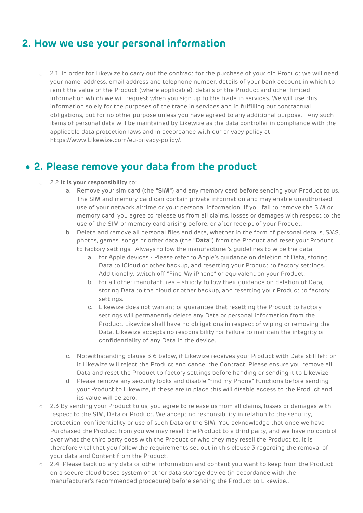## **2. How we use your personal information**

o 2.1 In order for Likewize to carry out the contract for the purchase of your old Product we will need your name, address, email address and telephone number, details of your bank account in which to remit the value of the Product (where applicable), details of the Product and other limited information which we will request when you sign up to the trade in services. We will use this information solely for the purposes of the trade in services and in fulfilling our contractual obligations, but for no other purpose unless you have agreed to any additional purpose. Any such items of personal data will be maintained by Likewize as the data controller in compliance with the applicable data protection laws and in accordance with our privacy policy at https://www.Likewize.com/eu-privacy-policy/.

#### • **2. Please remove your data from the product**

- o 2.2 **It is your responsibility** to:
	- a. Remove your sim card (the **"SIM"**) and any memory card before sending your Product to us. The SIM and memory card can contain private information and may enable unauthorised use of your network airtime or your personal information. If you fail to remove the SIM or memory card, you agree to release us from all claims, losses or damages with respect to the use of the SIM or memory card arising before, or after receipt of your Product.
	- b. Delete and remove all personal files and data, whether in the form of personal details, SMS, photos, games, songs or other data (the **"Data"**) from the Product and reset your Product to factory settings. Always follow the manufacturer's guidelines to wipe the data:
		- a. for Apple devices Please refer to Apple's guidance on deletion of Data, storing Data to iCloud or other backup, and resetting your Product to factory settings. Additionally, switch off "Find My iPhone" or equivalent on your Product.
		- b. for all other manufactures strictly follow their guidance on deletion of Data, storing Data to the cloud or other backup, and resetting your Product to factory settings.
		- c. Likewize does not warrant or guarantee that resetting the Product to factory settings will permanently delete any Data or personal information from the Product. Likewize shall have no obligations in respect of wiping or removing the Data. Likewize accepts no responsibility for failure to maintain the integrity or confidentiality of any Data in the device.
	- c. Notwithstanding clause 3.6 below, if Likewize receives your Product with Data still left on it Likewize will reject the Product and cancel the Contract. Please ensure you remove all Data and reset the Product to factory settings before handing or sending it to Likewize.
	- d. Please remove any security locks and disable "find my Phone" functions before sending your Product to Likewize, if these are in place this will disable access to the Product and its value will be zero.
- o 2.3 By sending your Product to us, you agree to release us from all claims, losses or damages with respect to the SIM, Data or Product. We accept no responsibility in relation to the security, protection, confidentiality or use of such Data or the SIM. You acknowledge that once we have Purchased the Product from you we may resell the Product to a third party, and we have no control over what the third party does with the Product or who they may resell the Product to. It is therefore vital that you follow the requirements set out in this clause 3 regarding the removal of your data and Content from the Product.
- o 2.4 Please back up any data or other information and content you want to keep from the Product on a secure cloud based system or other data storage device (in accordance with the manufacturer's recommended procedure) before sending the Product to Likewize..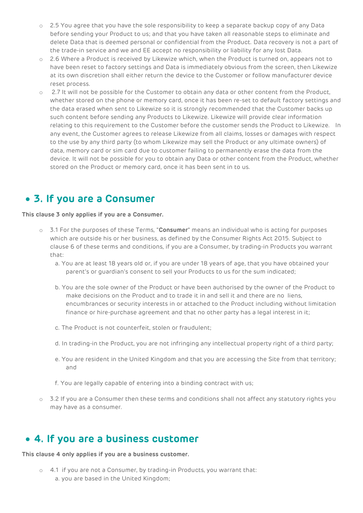- o 2.5 You agree that you have the sole responsibility to keep a separate backup copy of any Data before sending your Product to us; and that you have taken all reasonable steps to eliminate and delete Data that is deemed personal or confidential from the Product. Data recovery is not a part of the trade-in service and we and EE accept no responsibility or liability for any lost Data.
- o 2.6 Where a Product is received by Likewize which, when the Product is turned on, appears not to have been reset to factory settings and Data is immediately obvious from the screen, then Likewize at its own discretion shall either return the device to the Customer or follow manufacturer device reset process.
- o 2.7 It will not be possible for the Customer to obtain any data or other content from the Product, whether stored on the phone or memory card, once it has been re-set to default factory settings and the data erased when sent to Likewize so it is strongly recommended that the Customer backs up such content before sending any Products to Likewize. Likewize will provide clear information relating to this requirement to the Customer before the customer sends the Product to Likewize. In any event, the Customer agrees to release Likewize from all claims, losses or damages with respect to the use by any third party (to whom Likewize may sell the Product or any ultimate owners) of data, memory card or sim card due to customer failing to permanently erase the data from the device. It will not be possible for you to obtain any Data or other content from the Product, whether stored on the Product or memory card, once it has been sent in to us.

## • **3. If you are a Consumer**

**This clause 3 only applies if you are a Consumer.**

- o 3.1 For the purposes of these Terms, "**Consumer**" means an individual who is acting for purposes which are outside his or her business, as defined by the Consumer Rights Act 2015. Subject to clause 6 of these terms and conditions, if you are a Consumer, by trading-in Products you warrant that:
	- a. You are at least 18 years old or, if you are under 18 years of age, that you have obtained your parent's or guardian's consent to sell your Products to us for the sum indicated;
	- b. You are the sole owner of the Product or have been authorised by the owner of the Product to make decisions on the Product and to trade it in and sell it and there are no liens, encumbrances or security interests in or attached to the Product including without limitation finance or hire-purchase agreement and that no other party has a legal interest in it;
	- c. The Product is not counterfeit, stolen or fraudulent;
	- d. In trading-in the Product, you are not infringing any intellectual property right of a third party;
	- e. You are resident in the United Kingdom and that you are accessing the Site from that territory; and
	- f. You are legally capable of entering into a binding contract with us;
- o 3.2 If you are a Consumer then these terms and conditions shall not affect any statutory rights you may have as a consumer.

#### • **4. If you are a business customer**

**This clause 4 only applies if you are a business customer.**

o 4.1 if you are not a Consumer, by trading-in Products, you warrant that: a. you are based in the United Kingdom;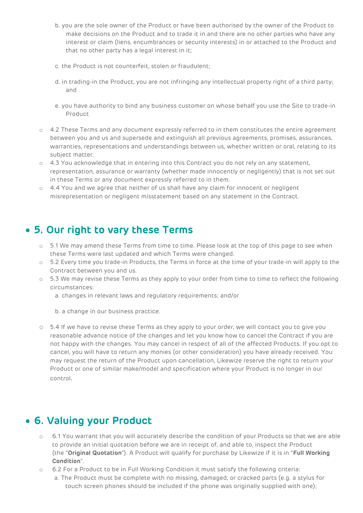- b. you are the sole owner of the Product or have been authorised by the owner of the Product to make decisions on the Product and to trade it in and there are no other parties who have any interest or claim (liens, encumbrances or security interests) in or attached to the Product and that no other party has a legal interest in it;
- c. the Product is not counterfeit, stolen or fraudulent;
- d. in trading-in the Product, you are not infringing any intellectual property right of a third party; and
- e. you have authority to bind any business customer on whose behalf you use the Site to trade-in Product
- o 4.2 These Terms and any document expressly referred to in them constitutes the entire agreement between you and us and supersede and extinguish all previous agreements, promises, assurances, warranties, representations and understandings between us, whether written or oral, relating to its subject matter.
- o 4.3 You acknowledge that in entering into this Contract you do not rely on any statement, representation, assurance or warranty (whether made innocently or negligently) that is not set out in these Terms or any document expressly referred to in them.
- $\circ$  4.4 You and we agree that neither of us shall have any claim for innocent or negligent misrepresentation or negligent misstatement based on any statement in the Contract.

#### • **5. Our right to vary these Terms**

- $\circ$  5.1 We may amend these Terms from time to time. Please look at the top of this page to see when these Terms were last updated and which Terms were changed.
- o 5.2 Every time you trade-in Products, the Terms in force at the time of your trade-in will apply to the Contract between you and us.
- $\circ$  5.3 We may revise these Terms as they apply to your order from time to time to reflect the following circumstances:
	- a. changes in relevant laws and regulatory requirements; and/or
	- b. a change in our business practice.
- o 5.4 If we have to revise these Terms as they apply to your order, we will contact you to give you reasonable advance notice of the changes and let you know how to cancel the Contract if you are not happy with the changes. You may cancel in respect of all of the affected Products. If you opt to cancel, you will have to return any monies (or other consideration) you have already received. You may request the return of the Product upon cancellation, Likewize reserve the right to return your Product or one of similar make/model and specification where your Product is no longer in our control.

## • **6. Valuing your Product**

- o 6.1 You warrant that you will accurately describe the condition of your Products so that we are able to provide an initial quotation before we are in receipt of, and able to, inspect the Product (the "**Original Quotation**"). A Product will qualify for purchase by Likewize if it is in "**Full Working Condition**".
- o 6.2 For a Product to be in Full Working Condition it must satisfy the following criteria:
	- a. The Product must be complete with no missing, damaged, or cracked parts (e.g. a stylus for touch screen phones should be included if the phone was originally supplied with one);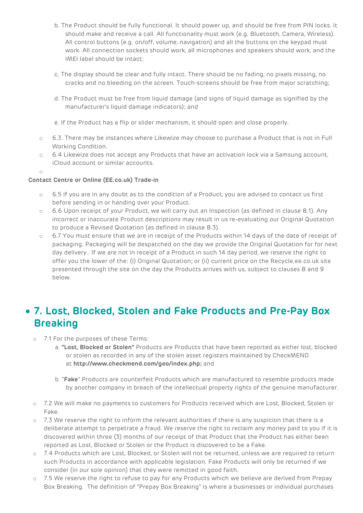- b. The Product should be fully functional. It should power up, and should be free from PIN locks. It should make and receive a call. All functionality must work (e.g. Bluetooth, Camera, Wireless). All control buttons (e.g. on/off, volume, navigation) and all the buttons on the keypad must work. All connection sockets should work, all microphones and speakers should work, and the IMEI label should be intact;
- c. The display should be clear and fully intact. There should be no fading, no pixels missing, no cracks and no bleeding on the screen. Touch-screens should be free from major scratching;
- d. The Product must be free from liquid damage (and signs of liquid damage as signified by the manufacturer's liquid damage indicators); and
- e. If the Product has a flip or slider mechanism, it should open and close properly.
- $\circ$  6.3. There may be instances where Likewize may choose to purchase a Product that is not in Full Working Condition.
- o 6.4 Likewize does not accept any Products that have an activation lock via a Samsung account, iCloud account or similar accounts.
- o

#### **Contact Centre or Online (EE.co.uk) Trade-in**

- o 6.5 If you are in any doubt as to the condition of a Product, you are advised to contact us first before sending in or handing over your Product.
- o 6.6 Upon receipt of your Product, we will carry out an Inspection (as defined in clause 8.1). Any incorrect or inaccurate Product descriptions may result in us re-evaluating our Original Quotation to produce a Revised Quotation (as defined in clause 8.3).
- o 6.7 You must ensure that we are in receipt of the Products within 14 days of the date of receipt of packaging. Packaging will be despatched on the day we provide the Original Quotation for for next day delivery.. If we are not in receipt of a Product in such 14 day period, we reserve the right to offer you the lower of the: (i) Original Quotation; or (ii) current price on the Recycle.ee.co.uk site presented through the site on the day the Products arrives with us, subject to clauses 8 and 9 below.

## • **7. Lost, Blocked, Stolen and Fake Products and Pre-Pay Box Breaking**

- o 7.1 For the purposes of these Terms:
	- a. **"Lost, Blocked or Stolen"** Products are Products that have been reported as either lost, blocked or stolen as recorded in any of the stolen asset registers maintained by CheckMEND at **http://www.checkmend.com/geo/index.php;** and
	- b. "**Fake**" Products are counterfeit Products which are manufactured to resemble products made by another company in breach of the intellectual property rights of the genuine manufacturer.
- o 7.2 We will make no payments to customers for Products received which are Lost, Blocked, Stolen or Fake.
- $\circ$  7.3 We reserve the right to inform the relevant authorities if there is any suspicion that there is a deliberate attempt to perpetrate a fraud. We reserve the right to reclaim any money paid to you if it is discovered within three (3) months of our receipt of that Product that the Product has either been reported as Lost, Blocked or Stolen or the Product is discovered to be a Fake.
- o 7.4 Products which are Lost, Blocked, or Stolen will not be returned, unless we are required to return such Products in accordance with applicable legislation. Fake Products will only be returned if we consider (in our sole opinion) that they were remitted in good faith.
- 7.5 We reserve the right to refuse to pay for any Products which we believe are derived from Prepay Box Breaking. The definition of "Prepay Box Breaking" is where a businesses or individual purchases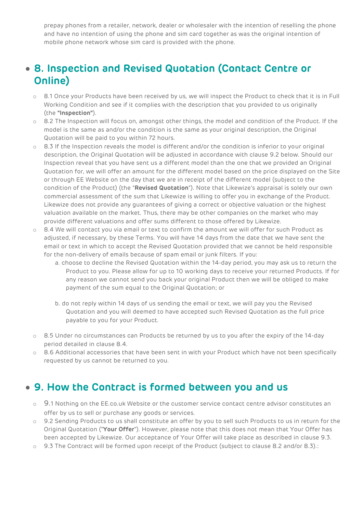prepay phones from a retailer, network, dealer or wholesaler with the intention of reselling the phone and have no intention of using the phone and sim card together as was the original intention of mobile phone network whose sim card is provided with the phone.

### • **8. Inspection and Revised Quotation (Contact Centre or Online)**

- o 8.1 Once your Products have been received by us, we will inspect the Product to check that it is in Full Working Condition and see if it complies with the description that you provided to us originally (the **"Inspection"**).
- $\circ$  8.2 The Inspection will focus on, amongst other things, the model and condition of the Product. If the model is the same as and/or the condition is the same as your original description, the Original Quotation will be paid to you within 72 hours.
- $\circ$  8.3 If the Inspection reveals the model is different and/or the condition is inferior to your original description, the Original Quotation will be adjusted in accordance with clause 9.2 below. Should our Inspection reveal that you have sent us a different model than the one that we provided an Original Quotation for, we will offer an amount for the different model based on the price displayed on the Site or through EE Website on the day that we are in receipt of the different model (subject to the condition of the Product) (the "**Revised Quotation**"). Note that Likewize's appraisal is solely our own commercial assessment of the sum that Likewize is willing to offer you in exchange of the Product. Likewize does not provide any guarantees of giving a correct or objective valuation or the highest valuation available on the market. Thus, there may be other companies on the market who may provide different valuations and offer sums different to those offered by Likewize.
- $\circ$  8.4 We will contact you via email or text to confirm the amount we will offer for such Product as adjusted, if necessary, by these Terms. You will have 14 days from the date that we have sent the email or text in which to accept the Revised Quotation provided that we cannot be held responsible for the non-delivery of emails because of spam email or junk filters. If you:
	- a. choose to decline the Revised Quotation within the 14-day period, you may ask us to return the Product to you. Please allow for up to 10 working days to receive your returned Products. If for any reason we cannot send you back your original Product then we will be obliged to make payment of the sum equal to the Original Quotation; or
	- b. do not reply within 14 days of us sending the email or text, we will pay you the Revised Quotation and you will deemed to have accepted such Revised Quotation as the full price payable to you for your Product.
- o 8.5 Under no circumstances can Products be returned by us to you after the expiry of the 14-day period detailed in clause 8.4.
- o 8.6 Additional accessories that have been sent in with your Product which have not been specifically requested by us cannot be returned to you.

## • **9. How the Contract is formed between you and us**

- o 9.1 Nothing on the EE.co.uk Website or the customer service contact centre advisor constitutes an offer by us to sell or purchase any goods or services.
- o 9.2 Sending Products to us shall constitute an offer by you to sell such Products to us in return for the Original Quotation ("**Your Offer**"). However, please note that this does not mean that Your Offer has been accepted by Likewize. Our acceptance of Your Offer will take place as described in clause 9.3.
- 9.3 The Contract will be formed upon receipt of the Product (subject to clause 8.2 and/or 8.3).: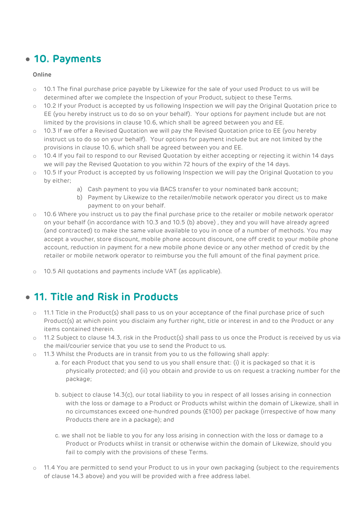#### • **10. Payments**

#### **Online**

- o 10.1 The final purchase price payable by Likewize for the sale of your used Product to us will be determined after we complete the Inspection of your Product, subject to these Terms.
- 10.2 If your Product is accepted by us following Inspection we will pay the Original Quotation price to EE (you hereby instruct us to do so on your behalf). Your options for payment include but are not limited by the provisions in clause 10.6, which shall be agreed between you and EE.
- o 10.3 If we offer a Revised Quotation we will pay the Revised Quotation price to EE (you hereby instruct us to do so on your behalf). Your options for payment include but are not limited by the provisions in clause 10.6, which shall be agreed between you and EE.
- o 10.4 If you fail to respond to our Revised Quotation by either accepting or rejecting it within 14 days we will pay the Revised Quotation to you within 72 hours of the expiry of the 14 days.
- o 10.5 If your Product is accepted by us following Inspection we will pay the Original Quotation to you by either;
	- a) Cash payment to you via BACS transfer to your nominated bank account;
	- b) Payment by Likewize to the retailer/mobile network operator you direct us to make payment to on your behalf.
- $\circ$  10.6 Where you instruct us to pay the final purchase price to the retailer or mobile network operator on your behalf (in accordance with 10.3 and 10.5 (b) above) , they and you will have already agreed (and contracted) to make the same value available to you in once of a number of methods. You may accept a voucher, store discount, mobile phone account discount, one off credit to your mobile phone account, reduction in payment for a new mobile phone device or any other method of credit by the retailer or mobile network operator to reimburse you the full amount of the final payment price.
- o 10.5 All quotations and payments include VAT (as applicable).

## • **11. Title and Risk in Products**

- o 11.1 Title in the Product(s) shall pass to us on your acceptance of the final purchase price of such Product(s) at which point you disclaim any further right, title or interest in and to the Product or any items contained therein.
- o 11.2 Subject to clause 14.3, risk in the Product(s) shall pass to us once the Product is received by us via the mail/courier service that you use to send the Product to us.
- $\circ$  11.3 Whilst the Products are in transit from you to us the following shall apply:
	- a. for each Product that you send to us you shall ensure that: (i) it is packaged so that it is physically protected; and (ii) you obtain and provide to us on request a tracking number for the package;
	- b. subject to clause 14.3(c), our total liability to you in respect of all losses arising in connection with the loss or damage to a Product or Products whilst within the domain of Likewize, shall in no circumstances exceed one-hundred pounds (£100) per package (irrespective of how many Products there are in a package); and
	- c. we shall not be liable to you for any loss arising in connection with the loss or damage to a Product or Products whilst in transit or otherwise within the domain of Likewize, should you fail to comply with the provisions of these Terms.
- 11.4 You are permitted to send your Product to us in your own packaging (subject to the requirements of clause 14.3 above) and you will be provided with a free address label.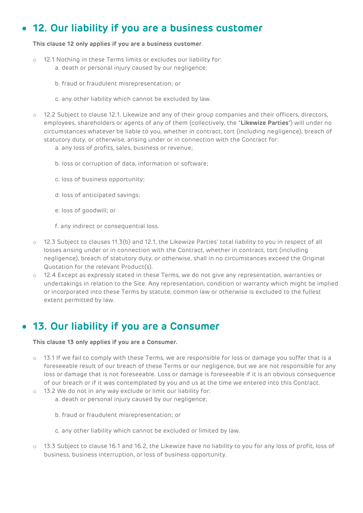## • **12. Our liability if you are a business customer**

#### **This clause 12 only applies if you are a business customer**.

- 12.1 Nothing in these Terms limits or excludes our liability for: a. death or personal injury caused by our negligence;
	- b. fraud or fraudulent misrepresentation; or
	- c. any other liability which cannot be excluded by law.
- o 12.2 Subject to clause 12.1, Likewize and any of their group companies and their officers, directors, employees, shareholders or agents of any of them (collectively, the "**Likewize Parties**") will under no circumstances whatever be liable to you, whether in contract, tort (including negligence), breach of statutory duty, or otherwise, arising under or in connection with the Contract for:
	- a. any loss of profits, sales, business or revenue;
	- b. loss or corruption of data, information or software;
	- c. loss of business opportunity;
	- d. loss of anticipated savings;
	- e. loss of goodwill; or
	- f. any indirect or consequential loss.
- o 12.3 Subject to clauses 11.3(b) and 12.1, the Likewize Parties' total liability to you in respect of all losses arising under or in connection with the Contract, whether in contract, tort (including negligence), breach of statutory duty, or otherwise, shall in no circumstances exceed the Original Quotation for the relevant Product(s).
- o 12.4 Except as expressly stated in these Terms, we do not give any representation, warranties or undertakings in relation to the Site. Any representation, condition or warranty which might be implied or incorporated into these Terms by statute, common law or otherwise is excluded to the fullest extent permitted by law.

#### • **13. Our liability if you are a Consumer**

#### **This clause 13 only applies if you are a Consumer.**

- o 13.1 If we fail to comply with these Terms, we are responsible for loss or damage you suffer that is a foreseeable result of our breach of these Terms or our negligence, but we are not responsible for any loss or damage that is not foreseeable. Loss or damage is foreseeable if it is an obvious consequence of our breach or if it was contemplated by you and us at the time we entered into this Contract.
- o 13.2 We do not in any way exclude or limit our liability for:
	- a. death or personal injury caused by our negligence;
	- b. fraud or fraudulent misrepresentation; or
	- c. any other liability which cannot be excluded or limited by law.
- 13.3 Subject to clause 16.1 and 16.2, the Likewize have no liability to you for any loss of profit, loss of business, business interruption, or loss of business opportunity.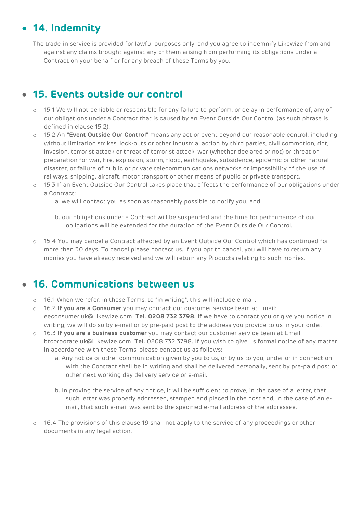## • **14. Indemnity**

The trade-in service is provided for lawful purposes only, and you agree to indemnify Likewize from and against any claims brought against any of them arising from performing its obligations under a Contract on your behalf or for any breach of these Terms by you.

## • **15. Events outside our control**

- o 15.1 We will not be liable or responsible for any failure to perform, or delay in performance of, any of our obligations under a Contract that is caused by an Event Outside Our Control (as such phrase is defined in clause 15.2).
- o 15.2 An **"Event Outside Our Control"** means any act or event beyond our reasonable control, including without limitation strikes, lock-outs or other industrial action by third parties, civil commotion, riot, invasion, terrorist attack or threat of terrorist attack, war (whether declared or not) or threat or preparation for war, fire, explosion, storm, flood, earthquake, subsidence, epidemic or other natural disaster, or failure of public or private telecommunications networks or impossibility of the use of railways, shipping, aircraft, motor transport or other means of public or private transport.
- o 15.3 If an Event Outside Our Control takes place that affects the performance of our obligations under a Contract:
	- a. we will contact you as soon as reasonably possible to notify you; and
	- b. our obligations under a Contract will be suspended and the time for performance of our obligations will be extended for the duration of the Event Outside Our Control.
- o 15.4 You may cancel a Contract affected by an Event Outside Our Control which has continued for more than 30 days. To cancel please contact us. If you opt to cancel, you will have to return any monies you have already received and we will return any Products relating to such monies.

## • **16. Communications between us**

- $\circ$  16.1 When we refer, in these Terms, to "in writing", this will include e-mail.
- o 16.2 **If you are a Consumer** you may contact our customer service team at Email: eeconsumer.uk@Likewize.com **Tel. 0208 732 3798.** If we have to contact you or give you notice in writing, we will do so by e-mail or by pre-paid post to the address you provide to us in your order.
- o 16.3 **If you are a business customer** you may contact our customer service team at Email: [btcorporate.uk@Likewize.com](mailto:btcorporate.uk@brightstar.com) **Tel.** 0208 732 3798. If you wish to give us formal notice of any matter in accordance with these Terms, please contact us as follows:
	- a. Any notice or other communication given by you to us, or by us to you, under or in connection with the Contract shall be in writing and shall be delivered personally, sent by pre-paid post or other next working day delivery service or e-mail.
	- b. In proving the service of any notice, it will be sufficient to prove, in the case of a letter, that such letter was properly addressed, stamped and placed in the post and, in the case of an email, that such e-mail was sent to the specified e-mail address of the addressee.
- 16.4 The provisions of this clause 19 shall not apply to the service of any proceedings or other documents in any legal action.